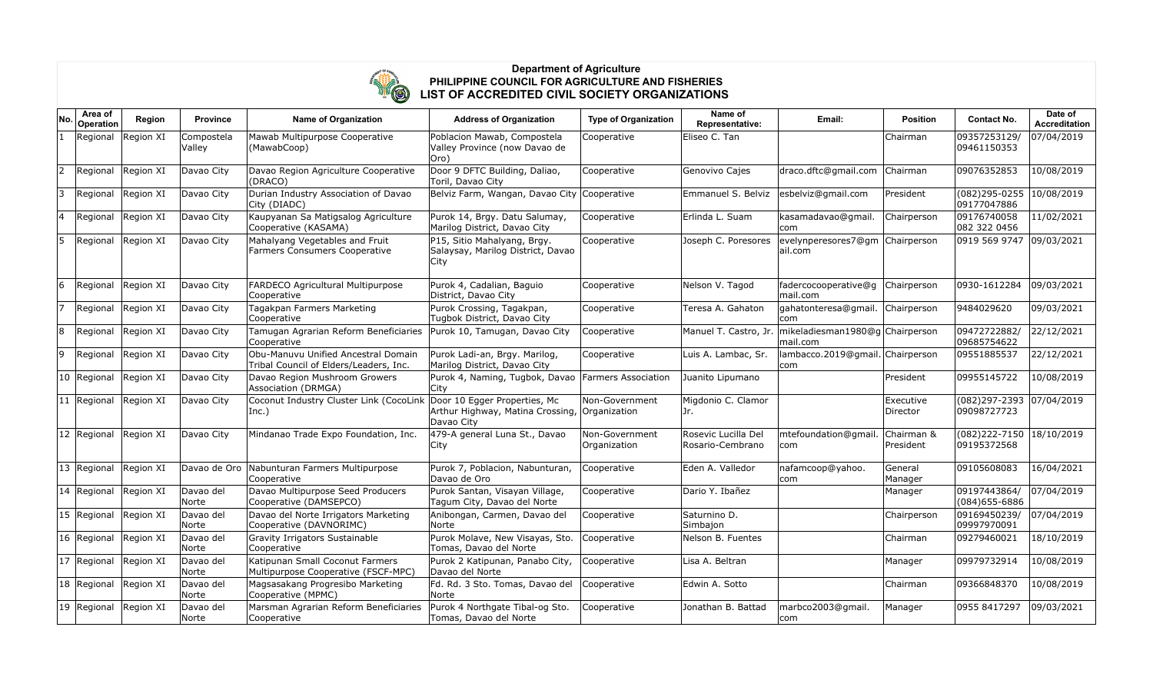

## **Department of Agriculture PHILIPPINE COUNCIL FOR AGRICULTURE AND FISHERIES LIST OF ACCREDITED CIVIL SOCIETY ORGANIZATIONS**

| No. | Area of<br>Operation  | Region    | <b>Province</b>      | Name of Organization                                                          | <b>Address of Organization</b>                                                 | <b>Type of Organization</b>    | Name of<br>Representative:              | Email:                                      | <b>Position</b>         | <b>Contact No.</b>                          | Date of<br><b>Accreditation</b> |
|-----|-----------------------|-----------|----------------------|-------------------------------------------------------------------------------|--------------------------------------------------------------------------------|--------------------------------|-----------------------------------------|---------------------------------------------|-------------------------|---------------------------------------------|---------------------------------|
|     | Regional              | Region XI | Compostela<br>Valley | Mawab Multipurpose Cooperative<br>(MawabCoop)                                 | Poblacion Mawab, Compostela<br>Valley Province (now Davao de<br>Oro)           | Cooperative                    | Eliseo C. Tan                           |                                             | Chairman                | 09357253129/<br>09461150353                 | 07/04/2019                      |
| 2   | Regional Region XI    |           | Davao City           | Davao Region Agriculture Cooperative<br>(DRACO)                               | Door 9 DFTC Building, Daliao,<br>Toril, Davao City                             | Cooperative                    | Genovivo Cajes                          | draco.dftc@gmail.com                        | Chairman                | 09076352853                                 | 10/08/2019                      |
| 3   | Regional Region XI    |           | Davao City           | Durian Industry Association of Davao<br>City (DIADC)                          | Belviz Farm, Wangan, Davao City Cooperative                                    |                                | Emmanuel S. Belviz                      | esbelviz@gmail.com                          | President               | $(082)295 - 0255$ 10/08/2019<br>09177047886 |                                 |
|     | Regional              | Region XI | Davao City           | Kaupyanan Sa Matigsalog Agriculture<br>Cooperative (KASAMA)                   | Purok 14, Brgy. Datu Salumay,<br>Marilog District, Davao City                  | Cooperative                    | Erlinda L. Suam                         | kasamadavao@gmail.<br>lcom.                 | Chairperson             | 09176740058<br>082 322 0456                 | 11/02/2021                      |
| 5   | Regional Region XI    |           | Davao City           | Mahalyang Vegetables and Fruit<br>Farmers Consumers Cooperative               | P15, Sitio Mahalyang, Brgy.<br>Salaysay, Marilog District, Davao<br>City       | Cooperative                    | Joseph C. Poresores                     | evelynperesores7@gm Chairperson<br>ail.com  |                         | 0919 569 9747 09/03/2021                    |                                 |
| 6   | Regional Region XI    |           | Davao City           | FARDECO Agricultural Multipurpose<br>Cooperative                              | Purok 4, Cadalian, Baguio<br>District, Davao City                              | Cooperative                    | Nelson V. Tagod                         | fadercocooperative@q<br>lmail.com           | Chairperson             | 0930-1612284                                | 09/03/2021                      |
|     | Regional Region XI    |           | Davao City           | Tagakpan Farmers Marketing<br>Cooperative                                     | Purok Crossing, Tagakpan,<br>Tugbok District, Davao City                       | Cooperative                    | Teresa A. Gahaton                       | gahatonteresa@gmail.<br> com                | Chairperson             | 9484029620                                  | 09/03/2021                      |
| 8   | Regional              | Region XI | Davao City           | Tamugan Agrarian Reform Beneficiaries<br>Cooperative                          | Purok 10, Tamugan, Davao City                                                  | Cooperative                    | Manuel T. Castro, Jr.                   | mikeladiesman1980@q Chairperson<br>mail.com |                         | 09472722882/<br>09685754622                 | 22/12/2021                      |
| 9   | Regional              | Region XI | Davao City           | Obu-Manuvu Unified Ancestral Domain<br>Tribal Council of Elders/Leaders, Inc. | Purok Ladi-an, Brgy. Marilog,<br>Marilog District, Davao City                  | Cooperative                    | Luis A. Lambac, Sr.                     | lambacco.2019@gmail. Chairperson<br> com    |                         | 09551885537                                 | 22/12/2021                      |
|     | 10 Regional Region XI |           | Davao City           | Davao Region Mushroom Growers<br>Association (DRMGA)                          | Purok 4, Naming, Tugbok, Davao Farmers Association<br> City                    |                                | Juanito Lipumano                        |                                             | President               | 09955145722                                 | 10/08/2019                      |
|     | 11 Regional Region XI |           | Davao City           | Coconut Industry Cluster Link (CocoLink<br>$ Inc.$ )                          | Door 10 Egger Properties, Mc<br>Arthur Highway, Matina Crossing,<br>Davao City | Non-Government<br>Organization | Migdonio C. Clamor<br>Jr.               |                                             | Executive<br>Director   | (082)297-2393 07/04/2019<br>09098727723     |                                 |
|     | 12 Regional Region XI |           | Davao City           | Mindanao Trade Expo Foundation, Inc.                                          | 479-A general Luna St., Davao<br> City                                         | Non-Government<br>Organization | Rosevic Lucilla Del<br>Rosario-Cembrano | mtefoundation@gmail.<br> com                | Chairman &<br>President | (082)222-7150 18/10/2019<br>09195372568     |                                 |
|     | 13 Regional Region XI |           |                      | Davao de Oro Nabunturan Farmers Multipurpose<br>Cooperative                   | Purok 7, Poblacion, Nabunturan,<br>Davao de Oro                                | Cooperative                    | Eden A. Valledor                        | nafamcoop@yahoo.<br>lcom.                   | General<br>Manager      | 09105608083                                 | 16/04/2021                      |
|     | 14 Regional Region XI |           | Davao del<br>Norte   | Davao Multipurpose Seed Producers<br>Cooperative (DAMSEPCO)                   | Purok Santan, Visayan Village,<br>Tagum City, Davao del Norte                  | Cooperative                    | Dario Y. Ibañez                         |                                             | Manager                 | 09197443864/<br>(084) 655-6886              | 07/04/2019                      |
|     | $15$ Regional         | Region XI | Davao del<br>Norte   | Davao del Norte Irrigators Marketing<br>Cooperative (DAVNORIMC)               | Anibongan, Carmen, Davao del<br>Norte                                          | Cooperative                    | Saturnino D.<br>Simbajon                |                                             | Chairperson             | 09169450239/<br>09997970091                 | 07/04/2019                      |
|     | 16 Regional           | Region XI | Davao del<br>Norte   | Gravity Irrigators Sustainable<br>Cooperative                                 | Purok Molave, New Visayas, Sto.<br>Tomas, Davao del Norte                      | Cooperative                    | Nelson B. Fuentes                       |                                             | Chairman                | 09279460021                                 | 18/10/2019                      |
|     | 17 Regional Region XI |           | Davao del<br>Norte   | Katipunan Small Coconut Farmers<br>Multipurpose Cooperative (FSCF-MPC)        | Purok 2 Katipunan, Panabo City,<br>Davao del Norte                             | Cooperative                    | Lisa A. Beltran                         |                                             | Manager                 | 09979732914                                 | 10/08/2019                      |
|     | 18 Regional           | Region XI | Davao del<br>Norte   | Magsasakang Progresibo Marketing<br>Cooperative (MPMC)                        | Fd. Rd. 3 Sto. Tomas, Davao del<br>Norte                                       | Cooperative                    | Edwin A. Sotto                          |                                             | Chairman                | 09366848370                                 | 10/08/2019                      |
|     | 19 Regional           | Region XI | Davao del<br>Norte   | Marsman Agrarian Reform Beneficiaries<br>Cooperative                          | Purok 4 Northgate Tibal-og Sto.<br>Tomas, Davao del Norte                      | Cooperative                    | Jonathan B. Battad                      | marbco2003@gmail.<br> com                   | Manager                 | 0955 8417297                                | 09/03/2021                      |